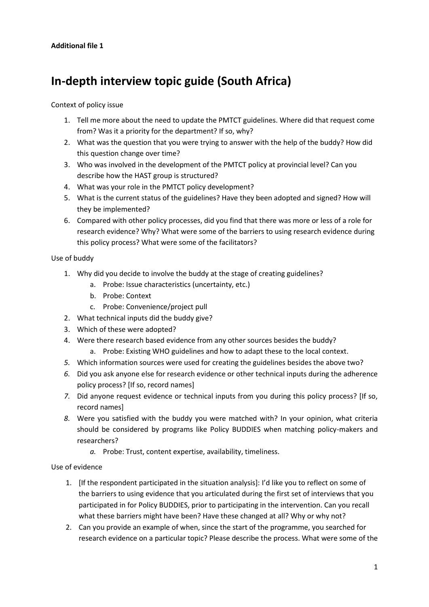# **In-depth interview topic guide (South Africa)**

Context of policy issue

- 1. Tell me more about the need to update the PMTCT guidelines. Where did that request come from? Was it a priority for the department? If so, why?
- 2. What was the question that you were trying to answer with the help of the buddy? How did this question change over time?
- 3. Who was involved in the development of the PMTCT policy at provincial level? Can you describe how the HAST group is structured?
- 4. What was your role in the PMTCT policy development?
- 5. What is the current status of the guidelines? Have they been adopted and signed? How will they be implemented?
- 6. Compared with other policy processes, did you find that there was more or less of a role for research evidence? Why? What were some of the barriers to using research evidence during this policy process? What were some of the facilitators?

Use of buddy

- 1. Why did you decide to involve the buddy at the stage of creating guidelines?
	- a. Probe: Issue characteristics (uncertainty, etc.)
	- b. Probe: Context
	- c. Probe: Convenience/project pull
- 2. What technical inputs did the buddy give?
- 3. Which of these were adopted?
- 4. Were there research based evidence from any other sources besides the buddy?
	- a. Probe: Existing WHO guidelines and how to adapt these to the local context.
- *5.* Which information sources were used for creating the guidelines besides the above two?
- *6.* Did you ask anyone else for research evidence or other technical inputs during the adherence policy process? [If so, record names]
- *7.* Did anyone request evidence or technical inputs from you during this policy process? [If so, record names]
- *8.* Were you satisfied with the buddy you were matched with? In your opinion, what criteria should be considered by programs like Policy BUDDIES when matching policy-makers and researchers?
	- *a.* Probe: Trust, content expertise, availability, timeliness.

#### Use of evidence

- 1. [If the respondent participated in the situation analysis]: I'd like you to reflect on some of the barriers to using evidence that you articulated during the first set of interviews that you participated in for Policy BUDDIES, prior to participating in the intervention. Can you recall what these barriers might have been? Have these changed at all? Why or why not?
- 2. Can you provide an example of when, since the start of the programme, you searched for research evidence on a particular topic? Please describe the process. What were some of the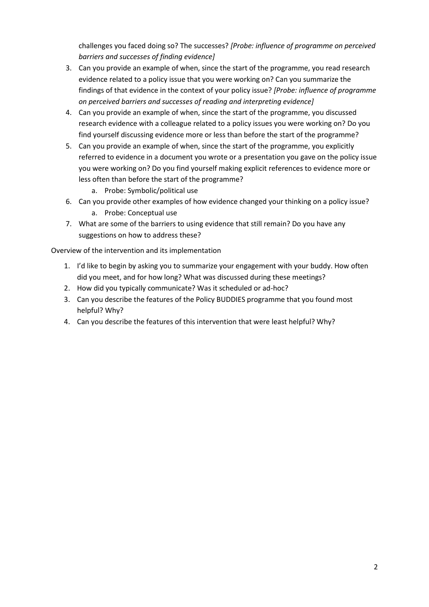challenges you faced doing so? The successes? *[Probe: influence of programme on perceived barriers and successes of finding evidence]*

- 3. Can you provide an example of when, since the start of the programme, you read research evidence related to a policy issue that you were working on? Can you summarize the findings of that evidence in the context of your policy issue? *[Probe: influence of programme on perceived barriers and successes of reading and interpreting evidence]*
- 4. Can you provide an example of when, since the start of the programme, you discussed research evidence with a colleague related to a policy issues you were working on? Do you find yourself discussing evidence more or less than before the start of the programme?
- 5. Can you provide an example of when, since the start of the programme, you explicitly referred to evidence in a document you wrote or a presentation you gave on the policy issue you were working on? Do you find yourself making explicit references to evidence more or less often than before the start of the programme?
	- a. Probe: Symbolic/political use
- 6. Can you provide other examples of how evidence changed your thinking on a policy issue? a. Probe: Conceptual use
- 7. What are some of the barriers to using evidence that still remain? Do you have any suggestions on how to address these?

Overview of the intervention and its implementation

- 1. I'd like to begin by asking you to summarize your engagement with your buddy. How often did you meet, and for how long? What was discussed during these meetings?
- 2. How did you typically communicate? Was it scheduled or ad-hoc?
- 3. Can you describe the features of the Policy BUDDIES programme that you found most helpful? Why?
- 4. Can you describe the features of this intervention that were least helpful? Why?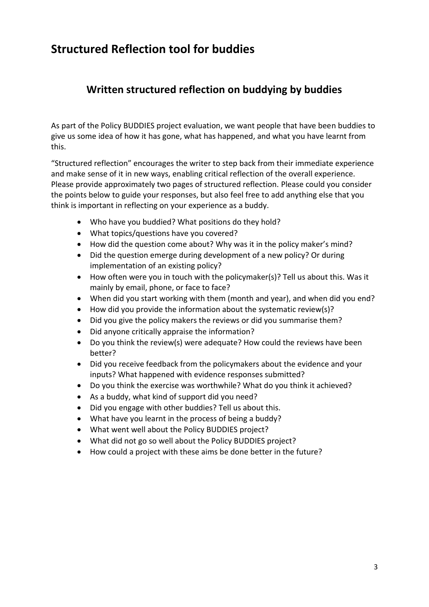# **Structured Reflection tool for buddies**

# **Written structured reflection on buddying by buddies**

As part of the Policy BUDDIES project evaluation, we want people that have been buddies to give us some idea of how it has gone, what has happened, and what you have learnt from this.

"Structured reflection" encourages the writer to step back from their immediate experience and make sense of it in new ways, enabling critical reflection of the overall experience. Please provide approximately two pages of structured reflection. Please could you consider the points below to guide your responses, but also feel free to add anything else that you think is important in reflecting on your experience as a buddy.

- Who have you buddied? What positions do they hold?
- What topics/questions have you covered?
- How did the question come about? Why was it in the policy maker's mind?
- Did the question emerge during development of a new policy? Or during implementation of an existing policy?
- How often were you in touch with the policymaker(s)? Tell us about this. Was it mainly by email, phone, or face to face?
- When did you start working with them (month and year), and when did you end?
- How did you provide the information about the systematic review(s)?
- Did you give the policy makers the reviews or did you summarise them?
- Did anyone critically appraise the information?
- Do you think the review(s) were adequate? How could the reviews have been better?
- Did you receive feedback from the policymakers about the evidence and your inputs? What happened with evidence responses submitted?
- Do you think the exercise was worthwhile? What do you think it achieved?
- As a buddy, what kind of support did you need?
- Did you engage with other buddies? Tell us about this.
- What have you learnt in the process of being a buddy?
- What went well about the Policy BUDDIES project?
- What did not go so well about the Policy BUDDIES project?
- How could a project with these aims be done better in the future?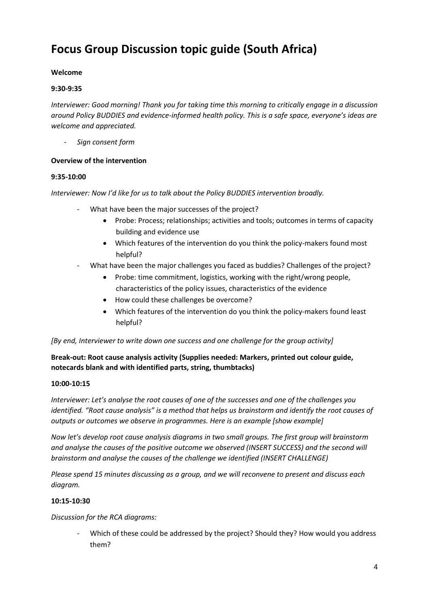# **Focus Group Discussion topic guide (South Africa)**

#### **Welcome**

#### **9:30-9:35**

*Interviewer: Good morning! Thank you for taking time this morning to critically engage in a discussion around Policy BUDDIES and evidence-informed health policy. This is a safe space, everyone's ideas are welcome and appreciated.* 

- *Sign consent form*

### **Overview of the intervention**

### **9:35-10:00**

*Interviewer: Now I'd like for us to talk about the Policy BUDDIES intervention broadly.*

- What have been the major successes of the project?
	- Probe: Process; relationships; activities and tools; outcomes in terms of capacity building and evidence use
	- Which features of the intervention do you think the policy-makers found most helpful?
- What have been the major challenges you faced as buddies? Challenges of the project?
	- Probe: time commitment, logistics, working with the right/wrong people, characteristics of the policy issues, characteristics of the evidence
	- How could these challenges be overcome?
	- Which features of the intervention do you think the policy-makers found least helpful?

#### *[By end, Interviewer to write down one success and one challenge for the group activity]*

**Break-out: Root cause analysis activity (Supplies needed: Markers, printed out colour guide, notecards blank and with identified parts, string, thumbtacks)**

# **10:00-10:15**

*Interviewer: Let's analyse the root causes of one of the successes and one of the challenges you identified. "Root cause analysis" is a method that helps us brainstorm and identify the root causes of outputs or outcomes we observe in programmes. Here is an example [show example]*

*Now let's develop root cause analysis diagrams in two small groups. The first group will brainstorm and analyse the causes of the positive outcome we observed (INSERT SUCCESS) and the second will brainstorm and analyse the causes of the challenge we identified (INSERT CHALLENGE)*

*Please spend 15 minutes discussing as a group, and we will reconvene to present and discuss each diagram.* 

# **10:15-10:30**

*Discussion for the RCA diagrams:* 

Which of these could be addressed by the project? Should they? How would you address them?